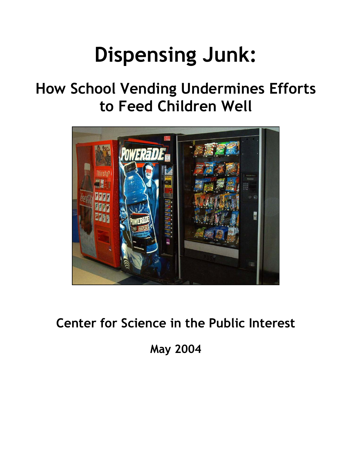# **Dispensing Junk:**

## **How School Vending Undermines Efforts to Feed Children Well**



### **Center for Science in the Public Interest**

**May 2004**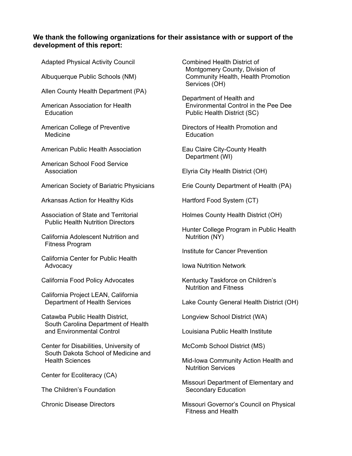#### **We thank the following organizations for their assistance with or support of the development of this report:**

Adapted Physical Activity Council

Albuquerque Public Schools (NM)

Allen County Health Department (PA)

American Association for Health Education

American College of Preventive Medicine

American Public Health Association

American School Food Service Association

American Society of Bariatric Physicians

Arkansas Action for Healthy Kids

Association of State and Territorial Public Health Nutrition Directors

California Adolescent Nutrition and Fitness Program

California Center for Public Health Advocacy

California Food Policy Advocates

California Project LEAN, California Department of Health Services

Catawba Public Health District, South Carolina Department of Health and Environmental Control

Center for Disabilities, University of South Dakota School of Medicine and Health Sciences

Center for Ecoliteracy (CA)

The Children's Foundation

Chronic Disease Directors

Combined Health District of Montgomery County, Division of Community Health, Health Promotion Services (OH)

Department of Health and Environmental Control in the Pee Dee Public Health District (SC)

Directors of Health Promotion and Education

Eau Claire City-County Health Department (WI)

Elyria City Health District (OH)

Erie County Department of Health (PA)

Hartford Food System (CT)

Holmes County Health District (OH)

Hunter College Program in Public Health Nutrition (NY)

Institute for Cancer Prevention

Iowa Nutrition Network

Kentucky Taskforce on Children's Nutrition and Fitness

Lake County General Health District (OH)

Longview School District (WA)

Louisiana Public Health Institute

McComb School District (MS)

Mid-Iowa Community Action Health and Nutrition Services

Missouri Department of Elementary and Secondary Education

Missouri Governor's Council on Physical Fitness and Health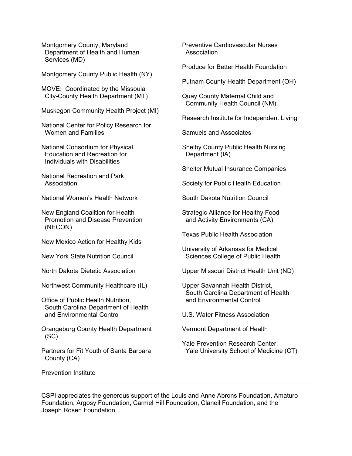Montgomery County, Maryland Department of Health and Human Services (MD)

Montgomery County Public Health (NY)

MOVE: Coordinated by the Missoula City-County Health Department (MT)

Muskegon Community Health Project (MI)

National Center for Policy Research for Women and Families

National Consortium for Physical Education and Recreation for Individuals with Disabilities

National Recreation and Park **Association** 

National Women's Health Network

New England Coalition for Health Promotion and Disease Prevention (NECON)

New Mexico Action for Healthy Kids

New York State Nutrition Council

North Dakota Dietetic Association

Northwest Community Healthcare (IL)

Office of Public Health Nutrition, South Carolina Department of Health and Environmental Control

Orangeburg County Health Department (SC)

Partners for Fit Youth of Santa Barbara County (CA)

Preventive Cardiovascular Nurses Association

Produce for Better Health Foundation

Putnam County Health Department (OH)

Quay County Maternal Child and Community Health Council (NM)

Research Institute for Independent Living

Samuels and Associates

Shelby County Public Health Nursing Department (IA)

Shelter Mutual Insurance Companies

Society for Public Health Education

South Dakota Nutrition Council

Strategic Alliance for Healthy Food and Activity Environments (CA)

Texas Public Health Association

University of Arkansas for Medical Sciences College of Public Health

Upper Missouri District Health Unit (ND)

Upper Savannah Health District, South Carolina Department of Health and Environmental Control

U.S. Water Fitness Association

Vermont Department of Health

Yale Prevention Research Center, Yale University School of Medicine (CT)

Prevention Institute

CSPI appreciates the generous support of the Louis and Anne Abrons Foundation, Amaturo Foundation, Argosy Foundation, Carmel Hill Foundation, Claneil Foundation, and the Joseph Rosen Foundation.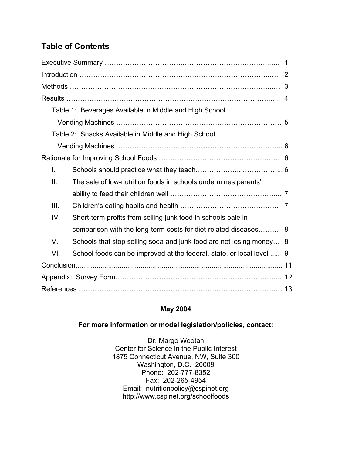#### **Table of Contents**

|                 | Table 1: Beverages Available in Middle and High School                |  |
|-----------------|-----------------------------------------------------------------------|--|
|                 |                                                                       |  |
|                 | Table 2: Snacks Available in Middle and High School                   |  |
|                 |                                                                       |  |
|                 |                                                                       |  |
| I.              |                                                                       |  |
| $\mathbf{II}$ . | The sale of low-nutrition foods in schools undermines parents'        |  |
|                 |                                                                       |  |
| III.            |                                                                       |  |
| IV.             | Short-term profits from selling junk food in schools pale in          |  |
|                 | comparison with the long-term costs for diet-related diseases 8       |  |
| V.              | Schools that stop selling soda and junk food are not losing money 8   |  |
| VI.             | School foods can be improved at the federal, state, or local level  9 |  |
|                 |                                                                       |  |
|                 |                                                                       |  |
|                 |                                                                       |  |

#### **May 2004**

#### **For more information or model legislation/policies, contact:**

Dr. Margo Wootan Center for Science in the Public Interest 1875 Connecticut Avenue, NW, Suite 300 Washington, D.C. 20009 Phone: 202-777-8352 Fax: 202-265-4954 Email: nutritionpolicy@cspinet.org http://www.cspinet.org/schoolfoods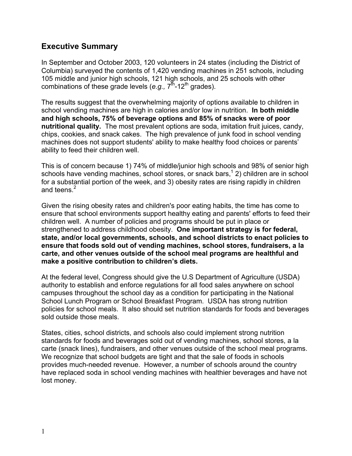#### **Executive Summary**

In September and October 2003, 120 volunteers in 24 states (including the District of Columbia) surveyed the contents of 1,420 vending machines in 251 schools, including 105 middle and junior high schools, 121 high schools, and 25 schools with other combinations of these grade levels (*e.g.*,  $7^{\text{th}}$ -12<sup>th</sup> grades).

The results suggest that the overwhelming majority of options available to children in school vending machines are high in calories and/or low in nutrition. **In both middle and high schools, 75% of beverage options and 85% of snacks were of poor nutritional quality.** The most prevalent options are soda, imitation fruit juices, candy, chips, cookies, and snack cakes. The high prevalence of junk food in school vending machines does not support students' ability to make healthy food choices or parents' ability to feed their children well.

This is of concern because 1) 74% of middle/junior high schools and 98% of senior high schools have vending machines, school stores, or snack bars,<sup>1</sup> 2) children are in school for a substantial portion of the week, and 3) obesity rates are rising rapidly in children and teens. $<sup>2</sup>$ </sup>

Given the rising obesity rates and children's poor eating habits, the time has come to ensure that school environments support healthy eating and parents' efforts to feed their children well. A number of policies and programs should be put in place or strengthened to address childhood obesity. **One important strategy is for federal, state, and/or local governments, schools, and school districts to enact policies to ensure that foods sold out of vending machines, school stores, fundraisers, a la carte, and other venues outside of the school meal programs are healthful and make a positive contribution to children's diets.**

At the federal level, Congress should give the U.S Department of Agriculture (USDA) authority to establish and enforce regulations for all food sales anywhere on school campuses throughout the school day as a condition for participating in the National School Lunch Program or School Breakfast Program. USDA has strong nutrition policies for school meals. It also should set nutrition standards for foods and beverages sold outside those meals.

States, cities, school districts, and schools also could implement strong nutrition standards for foods and beverages sold out of vending machines, school stores, a la carte (snack lines), fundraisers, and other venues outside of the school meal programs. We recognize that school budgets are tight and that the sale of foods in schools provides much-needed revenue. However, a number of schools around the country have replaced soda in school vending machines with healthier beverages and have not lost money.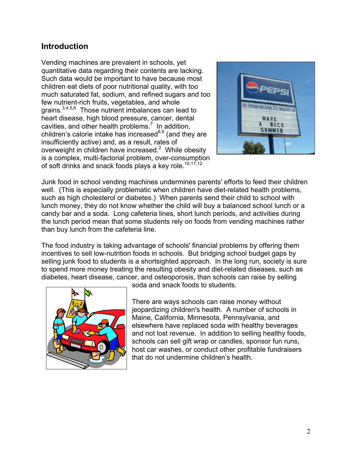#### **Introduction**

Vending machines are prevalent in schools, yet quantitative data regarding their contents are lacking. Such data would be important to have because most children eat diets of poor nutritional quality, with too much saturated fat, sodium, and refined sugars and too few nutrient-rich fruits, vegetables, and whole grains.<sup>3,4,5,6</sup> Those nutrient imbalances can lead to heart disease, high blood pressure, cancer, dental cavities, and other health problems. $<sup>7</sup>$  In addition,</sup> children's calorie intake has increased $8,9$  (and they are insufficiently active) and, as a result, rates of overweight in children have increased.<sup>2</sup> While obesity is a complex, multi-factorial problem, over-consumption of soft drinks and snack foods plays a key role.<sup>10,11,12</sup>



Junk food in school vending machines undermines parents' efforts to feed their children well. (This is especially problematic when children have diet-related health problems, such as high cholesterol or diabetes.) When parents send their child to school with lunch money, they do not know whether the child will buy a balanced school lunch or a candy bar and a soda. Long cafeteria lines, short lunch periods, and activities during the lunch period mean that some students rely on foods from vending machines rather than buy lunch from the cafeteria line.

The food industry is taking advantage of schools' financial problems by offering them incentives to sell low-nutrition foods in schools. But bridging school budget gaps by selling junk food to students is a shortsighted approach. In the long run, society is sure to spend more money treating the resulting obesity and diet-related diseases, such as diabetes, heart disease, cancer, and osteoporosis, than schools can raise by selling



soda and snack foods to students.

There are ways schools can raise money without jeopardizing children's health. A number of schools in Maine, California, Minnesota, Pennsylvania, and elsewhere have replaced soda with healthy beverages and not lost revenue. In addition to selling healthy foods, schools can sell gift wrap or candles, sponsor fun runs, host car washes, or conduct other profitable fundraisers that do not undermine children's health.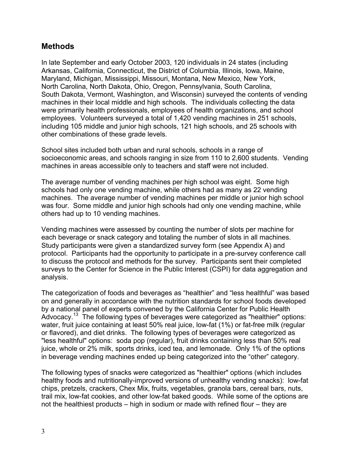#### **Methods**

In late September and early October 2003, 120 individuals in 24 states (including Arkansas, California, Connecticut, the District of Columbia, Illinois, Iowa, Maine, Maryland, Michigan, Mississippi, Missouri, Montana, New Mexico, New York, North Carolina, North Dakota, Ohio, Oregon, Pennsylvania, South Carolina, South Dakota, Vermont, Washington, and Wisconsin) surveyed the contents of vending machines in their local middle and high schools. The individuals collecting the data were primarily health professionals, employees of health organizations, and school employees. Volunteers surveyed a total of 1,420 vending machines in 251 schools, including 105 middle and junior high schools, 121 high schools, and 25 schools with other combinations of these grade levels.

School sites included both urban and rural schools, schools in a range of socioeconomic areas, and schools ranging in size from 110 to 2,600 students. Vending machines in areas accessible only to teachers and staff were not included.

The average number of vending machines per high school was eight. Some high schools had only one vending machine, while others had as many as 22 vending machines. The average number of vending machines per middle or junior high school was four. Some middle and junior high schools had only one vending machine, while others had up to 10 vending machines.

Vending machines were assessed by counting the number of slots per machine for each beverage or snack category and totaling the number of slots in all machines. Study participants were given a standardized survey form (see Appendix A) and protocol. Participants had the opportunity to participate in a pre-survey conference call to discuss the protocol and methods for the survey. Participants sent their completed surveys to the Center for Science in the Public Interest (CSPI) for data aggregation and analysis.

The categorization of foods and beverages as "healthier" and "less healthful" was based on and generally in accordance with the nutrition standards for school foods developed by a national panel of experts convened by the California Center for Public Health Advocacy.<sup>13</sup> The following types of beverages were categorized as "healthier" options: water, fruit juice containing at least 50% real juice, low-fat (1%) or fat-free milk (regular or flavored), and diet drinks. The following types of beverages were categorized as "less healthful" options: soda pop (regular), fruit drinks containing less than 50% real juice, whole or 2% milk, sports drinks, iced tea, and lemonade. Only 1% of the options in beverage vending machines ended up being categorized into the "other" category.

The following types of snacks were categorized as "healthier" options (which includes healthy foods and nutritionally-improved versions of unhealthy vending snacks): low-fat chips, pretzels, crackers, Chex Mix, fruits, vegetables, granola bars, cereal bars, nuts, trail mix, low-fat cookies, and other low-fat baked goods. While some of the options are not the healthiest products – high in sodium or made with refined flour – they are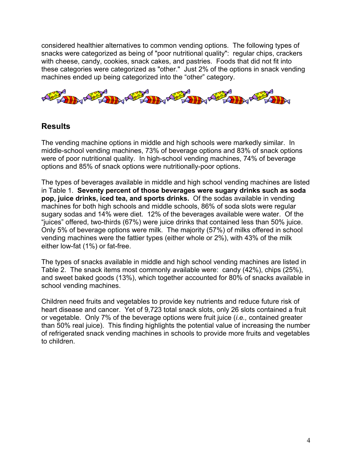considered healthier alternatives to common vending options. The following types of snacks were categorized as being of "poor nutritional quality": regular chips, crackers with cheese, candy, cookies, snack cakes, and pastries. Foods that did not fit into these categories were categorized as "other." Just 2% of the options in snack vending machines ended up being categorized into the "other" category.



#### **Results**

The vending machine options in middle and high schools were markedly similar. In middle-school vending machines, 73% of beverage options and 83% of snack options were of poor nutritional quality. In high-school vending machines, 74% of beverage options and 85% of snack options were nutritionally-poor options.

The types of beverages available in middle and high school vending machines are listed in Table 1. **Seventy percent of those beverages were sugary drinks such as soda pop, juice drinks, iced tea, and sports drinks.** Of the sodas available in vending machines for both high schools and middle schools, 86% of soda slots were regular sugary sodas and 14% were diet. 12% of the beverages available were water. Of the "juices" offered, two-thirds (67%) were juice drinks that contained less than 50% juice. Only 5% of beverage options were milk. The majority (57%) of milks offered in school vending machines were the fattier types (either whole or 2%), with 43% of the milk either low-fat (1%) or fat-free.

The types of snacks available in middle and high school vending machines are listed in Table 2. The snack items most commonly available were: candy (42%), chips (25%), and sweet baked goods (13%), which together accounted for 80% of snacks available in school vending machines.

Children need fruits and vegetables to provide key nutrients and reduce future risk of heart disease and cancer. Yet of 9,723 total snack slots, only 26 slots contained a fruit or vegetable. Only 7% of the beverage options were fruit juice (*i.e.,* contained greater than 50% real juice). This finding highlights the potential value of increasing the number of refrigerated snack vending machines in schools to provide more fruits and vegetables to children.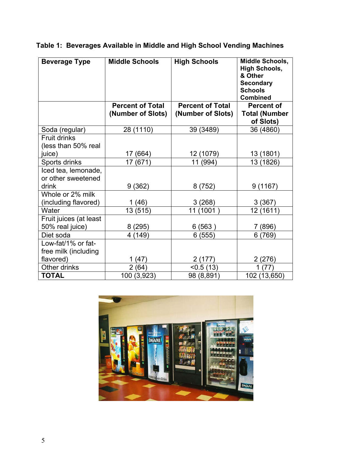| <b>Beverage Type</b>                       | <b>Middle Schools</b>   | <b>High Schools</b>     | <b>Middle Schools,</b><br><b>High Schools,</b><br>& Other<br><b>Secondary</b><br><b>Schools</b><br><b>Combined</b> |
|--------------------------------------------|-------------------------|-------------------------|--------------------------------------------------------------------------------------------------------------------|
|                                            | <b>Percent of Total</b> | <b>Percent of Total</b> | <b>Percent of</b>                                                                                                  |
|                                            | (Number of Slots)       | (Number of Slots)       | <b>Total (Number</b><br>of Slots)                                                                                  |
| Soda (regular)                             | 28 (1110)               | 39 (3489)               | 36 (4860)                                                                                                          |
| <b>Fruit drinks</b><br>(less than 50% real |                         |                         |                                                                                                                    |
| juice)                                     | 17 (664)                | 12 (1079)               | 13 (1801)                                                                                                          |
| Sports drinks                              | 17 (671)                | 11 (994)                | 13 (1826)                                                                                                          |
| Iced tea, lemonade,<br>or other sweetened  |                         |                         |                                                                                                                    |
| drink                                      | 9(362)                  | 8 (752)                 | 9 (1167)                                                                                                           |
| Whole or 2% milk<br>(including flavored)   | 1(46)                   | 3(268)                  | 3(367)                                                                                                             |
| Water                                      | 13 (515)                | 11 (1001                | 12 (1611)                                                                                                          |
| Fruit juices (at least<br>50% real juice)  | 8 (295)                 | 6(563)                  | 7 (896)                                                                                                            |
| Diet soda                                  | 4 (149)                 | 6(555)                  | 6(769)                                                                                                             |
| Low-fat/1% or fat-<br>free milk (including |                         |                         |                                                                                                                    |
| flavored)                                  | (47)                    | 2 (177)                 | 2(276)                                                                                                             |
| Other drinks                               | 2(64)                   | $<$ 0.5 (13)            | (77)<br>1                                                                                                          |
| <b>TOTAL</b>                               | 100 (3,923)             | 98 (8,891)              | 102 (13,650)                                                                                                       |

#### **Table 1: Beverages Available in Middle and High School Vending Machines**

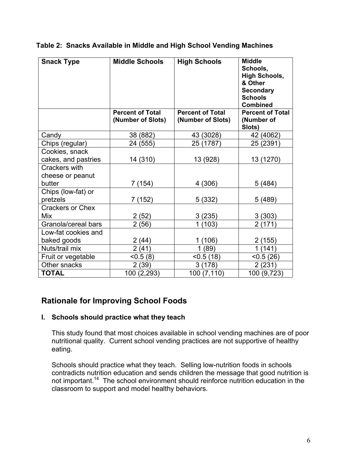| <b>Snack Type</b>              | <b>Middle Schools</b>                        | <b>High Schools</b>                          | <b>Middle</b><br>Schools,<br><b>High Schools,</b><br>& Other<br><b>Secondary</b><br><b>Schools</b><br><b>Combined</b> |
|--------------------------------|----------------------------------------------|----------------------------------------------|-----------------------------------------------------------------------------------------------------------------------|
|                                | <b>Percent of Total</b><br>(Number of Slots) | <b>Percent of Total</b><br>(Number of Slots) | <b>Percent of Total</b><br>(Number of                                                                                 |
|                                |                                              |                                              | Slots)                                                                                                                |
| Candy                          | 38 (882)                                     | 43 (3028)                                    | 42 (4062)                                                                                                             |
| Chips (regular)                | 24 (555)                                     | 25 (1787)                                    | 25 (2391)                                                                                                             |
| Cookies, snack                 |                                              |                                              |                                                                                                                       |
| cakes, and pastries            | 14 (310)                                     | 13 (928)                                     | 13 (1270)                                                                                                             |
| Crackers with                  |                                              |                                              |                                                                                                                       |
| cheese or peanut               |                                              |                                              |                                                                                                                       |
| butter                         | 7 (154)                                      | 4 (306)                                      | 5(484)                                                                                                                |
| Chips (low-fat) or<br>pretzels |                                              | 5(332)                                       | 5(489)                                                                                                                |
| <b>Crackers or Chex</b>        | 7 (152)                                      |                                              |                                                                                                                       |
| Mix                            | 2(52)                                        | 3(235)                                       | 3(303)                                                                                                                |
| Granola/cereal bars            | 2(56)                                        | 1(103)                                       | 2(171)                                                                                                                |
| Low-fat cookies and            |                                              |                                              |                                                                                                                       |
| baked goods                    | 2(44)                                        | 1 (106)                                      | 2(155)                                                                                                                |
| Nuts/trail mix                 | 2(41)                                        | (89)<br>1                                    | 1(141)                                                                                                                |
| Fruit or vegetable             | < 0.5(8)                                     | $<$ 0.5 (18)                                 | $<$ 0.5 (26)                                                                                                          |
| Other snacks                   | 2(39)                                        | 3(178)                                       | 2(231)                                                                                                                |
| <b>TOTAL</b>                   | 100 (2,293)                                  | 100 (7,110)                                  | 100 (9,723)                                                                                                           |

#### **Table 2: Snacks Available in Middle and High School Vending Machines**

#### **Rationale for Improving School Foods**

#### **I. Schools should practice what they teach**

This study found that most choices available in school vending machines are of poor nutritional quality. Current school vending practices are not supportive of healthy eating.

Schools should practice what they teach. Selling low-nutrition foods in schools contradicts nutrition education and sends children the message that good nutrition is not important.<sup>14</sup> The school environment should reinforce nutrition education in the classroom to support and model healthy behaviors.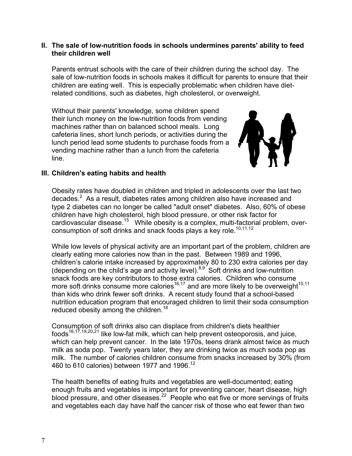#### **II. The sale of low-nutrition foods in schools undermines parents' ability to feed their children well**

Parents entrust schools with the care of their children during the school day. The sale of low-nutrition foods in schools makes it difficult for parents to ensure that their children are eating well. This is especially problematic when children have dietrelated conditions, such as diabetes, high cholesterol, or overweight.

Without their parents' knowledge, some children spend their lunch money on the low-nutrition foods from vending machines rather than on balanced school meals. Long cafeteria lines, short lunch periods, or activities during the lunch period lead some students to purchase foods from a vending machine rather than a lunch from the cafeteria line.



#### **III. Children's eating habits and health**

Obesity rates have doubled in children and tripled in adolescents over the last two decades.<sup>2</sup> As a result, diabetes rates among children also have increased and type 2 diabetes can no longer be called "adult onset" diabetes. Also, 60% of obese children have high cholesterol, high blood pressure, or other risk factor for cardiovascular disease.<sup>15</sup> While obesity is a complex, multi-factorial problem, overconsumption of soft drinks and snack foods plays a key role.<sup>10,11,12</sup>

While low levels of physical activity are an important part of the problem, children are clearly eating more calories now than in the past. Between 1989 and 1996, children's calorie intake increased by approximately 80 to 230 extra calories per day (depending on the child's age and activity level).  $8.9^\circ$  Soft drinks and low-nutrition snack foods are key contributors to those extra calories. Children who consume more soft drinks consume more calories<sup>16,17</sup> and are more likely to be overweight<sup>10,11</sup> than kids who drink fewer soft drinks. A recent study found that a school-based nutrition education program that encouraged children to limit their soda consumption reduced obesity among the children.<sup>18</sup>

Consumption of soft drinks also can displace from children's diets healthier foods<sup>16,17,19,20,21</sup> like low-fat milk, which can help prevent osteoporosis, and juice, which can help prevent cancer. In the late 1970s, teens drank almost twice as much milk as soda pop. Twenty years later, they are drinking twice as much soda pop as milk. The number of calories children consume from snacks increased by 30% (from 460 to 610 calories) between 1977 and 1996.<sup>12</sup>

The health benefits of eating fruits and vegetables are well-documented; eating enough fruits and vegetables is important for preventing cancer, heart disease, high blood pressure, and other diseases.<sup>22</sup> People who eat five or more servings of fruits and vegetables each day have half the cancer risk of those who eat fewer than two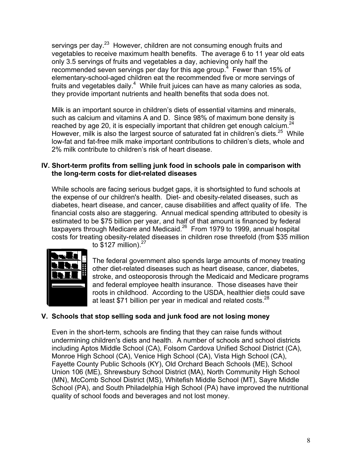servings per day.<sup>23</sup> However, children are not consuming enough fruits and vegetables to receive maximum health benefits. The average 6 to 11 year old eats only 3.5 servings of fruits and vegetables a day, achieving only half the recommended seven servings per day for this age group.<sup> $4$ </sup> Fewer than 15% of elementary-school-aged children eat the recommended five or more servings of fruits and vegetables daily.<sup>4</sup> While fruit juices can have as many calories as soda, they provide important nutrients and health benefits that soda does not.

Milk is an important source in children's diets of essential vitamins and minerals, such as calcium and vitamins A and D. Since 98% of maximum bone density is reached by age 20, it is especially important that children get enough calcium.<sup>24</sup> However, milk is also the largest source of saturated fat in children's diets.<sup>25</sup> While low-fat and fat-free milk make important contributions to children's diets, whole and 2% milk contribute to children's risk of heart disease.

#### **IV. Short-term profits from selling junk food in schools pale in comparison with the long-term costs for diet-related diseases**

While schools are facing serious budget gaps, it is shortsighted to fund schools at the expense of our children's health. Diet- and obesity-related diseases, such as diabetes, heart disease, and cancer, cause disabilities and affect quality of life. The financial costs also are staggering. Annual medical spending attributed to obesity is estimated to be \$75 billion per year, and half of that amount is financed by federal taxpayers through Medicare and Medicaid.26 From 1979 to 1999, annual hospital costs for treating obesity-related diseases in children rose threefold (from \$35 million



to  $$127$  million).<sup>27</sup>

The federal government also spends large amounts of money treating other diet-related diseases such as heart disease, cancer, diabetes, stroke, and osteoporosis through the Medicaid and Medicare programs and federal employee health insurance. Those diseases have their roots in childhood. According to the USDA, healthier diets could save at least \$71 billion per year in medical and related costs. $^{28}$ 

#### **V. Schools that stop selling soda and junk food are not losing money**

Even in the short-term, schools are finding that they can raise funds without undermining children's diets and health. A number of schools and school districts including Aptos Middle School (CA), Folsom Cardova Unified School District (CA), Monroe High School (CA), Venice High School (CA), Vista High School (CA), Fayette County Public Schools (KY), Old Orchard Beach Schools (ME), School Union 106 (ME), Shrewsbury School District (MA), North Community High School (MN), McComb School District (MS), Whitefish Middle School (MT), Sayre Middle School (PA), and South Philadelphia High School (PA) have improved the nutritional quality of school foods and beverages and not lost money.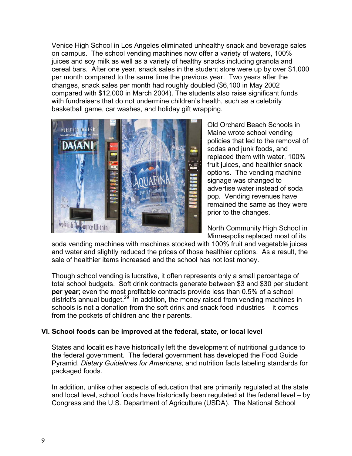Venice High School in Los Angeles eliminated unhealthy snack and beverage sales on campus. The school vending machines now offer a variety of waters, 100% juices and soy milk as well as a variety of healthy snacks including granola and cereal bars. After one year, snack sales in the student store were up by over \$1,000 per month compared to the same time the previous year. Two years after the changes, snack sales per month had roughly doubled (\$6,100 in May 2002 compared with \$12,000 in March 2004). The students also raise significant funds with fundraisers that do not undermine children's health, such as a celebrity basketball game, car washes, and holiday gift wrapping.



Old Orchard Beach Schools in Maine wrote school vending policies that led to the removal of sodas and junk foods, and replaced them with water, 100% fruit juices, and healthier snack options. The vending machine signage was changed to advertise water instead of soda pop. Vending revenues have remained the same as they were prior to the changes.

North Community High School in Minneapolis replaced most of its

soda vending machines with machines stocked with 100% fruit and vegetable juices and water and slightly reduced the prices of those healthier options. As a result, the sale of healthier items increased and the school has not lost money.

Though school vending is lucrative, it often represents only a small percentage of total school budgets. Soft drink contracts generate between \$3 and \$30 per student per year; even the most profitable contracts provide less than 0.5% of a school district's annual budget.<sup>29</sup> In addition, the money raised from vending machines in schools is not a donation from the soft drink and snack food industries – it comes from the pockets of children and their parents.

#### **VI. School foods can be improved at the federal, state, or local level**

States and localities have historically left the development of nutritional guidance to the federal government. The federal government has developed the Food Guide Pyramid, *Dietary Guidelines for Americans*, and nutrition facts labeling standards for packaged foods.

In addition, unlike other aspects of education that are primarily regulated at the state and local level, school foods have historically been regulated at the federal level – by Congress and the U.S. Department of Agriculture (USDA). The National School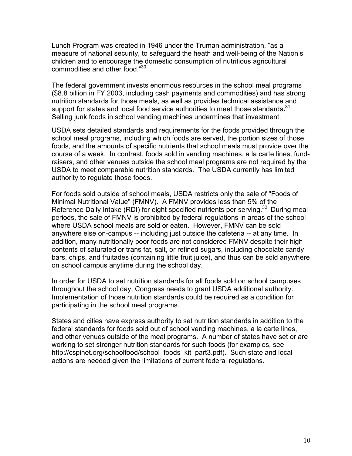Lunch Program was created in 1946 under the Truman administration, "as a measure of national security, to safeguard the heath and well-being of the Nation's children and to encourage the domestic consumption of nutritious agricultural commodities and other food."30

The federal government invests enormous resources in the school meal programs (\$8.8 billion in FY 2003, including cash payments and commodities) and has strong nutrition standards for those meals, as well as provides technical assistance and support for states and local food service authorities to meet those standards.<sup>31</sup> Selling junk foods in school vending machines undermines that investment.

USDA sets detailed standards and requirements for the foods provided through the school meal programs, including which foods are served, the portion sizes of those foods, and the amounts of specific nutrients that school meals must provide over the course of a week. In contrast, foods sold in vending machines, a la carte lines, fundraisers, and other venues outside the school meal programs are not required by the USDA to meet comparable nutrition standards. The USDA currently has limited authority to regulate those foods.

For foods sold outside of school meals, USDA restricts only the sale of "Foods of Minimal Nutritional Value" (FMNV). A FMNV provides less than 5% of the Reference Daily Intake (RDI) for eight specified nutrients per serving.<sup>32</sup> During meal periods, the sale of FMNV is prohibited by federal regulations in areas of the school where USDA school meals are sold or eaten. However, FMNV can be sold anywhere else on-campus -- including just outside the cafeteria -- at any time. In addition, many nutritionally poor foods are not considered FMNV despite their high contents of saturated or trans fat, salt, or refined sugars, including chocolate candy bars, chips, and fruitades (containing little fruit juice), and thus can be sold anywhere on school campus anytime during the school day.

In order for USDA to set nutrition standards for all foods sold on school campuses throughout the school day, Congress needs to grant USDA additional authority. Implementation of those nutrition standards could be required as a condition for participating in the school meal programs.

States and cities have express authority to set nutrition standards in addition to the federal standards for foods sold out of school vending machines, a la carte lines, and other venues outside of the meal programs. A number of states have set or are working to set stronger nutrition standards for such foods (for examples, see http://cspinet.org/schoolfood/school\_foods\_kit\_part3.pdf). Such state and local actions are needed given the limitations of current federal regulations.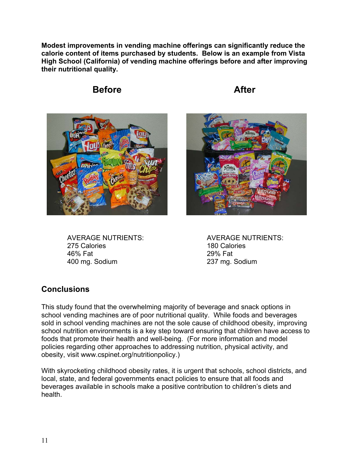**Modest improvements in vending machine offerings can significantly reduce the calorie content of items purchased by students. Below is an example from Vista High School (California) of vending machine offerings before and after improving their nutritional quality.** 

#### **Before** After



AVERAGE NUTRIENTS: 275 Calories 46% Fat 400 mg. Sodium



AVERAGE NUTRIENTS: 180 Calories 29% Fat 237 mg. Sodium

#### **Conclusions**

This study found that the overwhelming majority of beverage and snack options in school vending machines are of poor nutritional quality. While foods and beverages sold in school vending machines are not the sole cause of childhood obesity, improving school nutrition environments is a key step toward ensuring that children have access to foods that promote their health and well-being. (For more information and model policies regarding other approaches to addressing nutrition, physical activity, and obesity, visit www.cspinet.org/nutritionpolicy.)

With skyrocketing childhood obesity rates, it is urgent that schools, school districts, and local, state, and federal governments enact policies to ensure that all foods and beverages available in schools make a positive contribution to children's diets and health.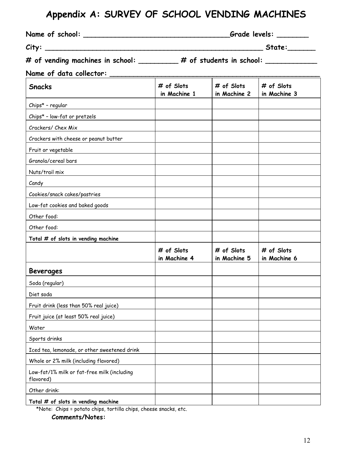### **Appendix A: SURVEY OF SCHOOL VENDING MACHINES**

| Name of school: | Grade levels: |  |
|-----------------|---------------|--|
|-----------------|---------------|--|

**City: \_\_\_\_\_\_\_\_\_\_\_\_\_\_\_\_\_\_\_\_\_\_\_\_\_\_\_\_\_\_\_\_\_\_\_\_\_\_\_\_\_\_\_\_\_\_\_\_\_\_\_\_\_\_\_ State:\_\_\_\_\_\_\_** 

# of vending machines in school: \_\_\_\_\_\_\_\_\_# of students in school: \_\_\_\_\_\_\_\_\_\_\_\_

| <b>Snacks</b>                                            | # of Slots<br>in Machine 1 | # of Slots<br>in Machine 2 | # of Slots<br>in Machine 3 |
|----------------------------------------------------------|----------------------------|----------------------------|----------------------------|
| Chips* - regular                                         |                            |                            |                            |
| Chips* - low-fat or pretzels                             |                            |                            |                            |
| Crackers/ Chex Mix                                       |                            |                            |                            |
| Crackers with cheese or peanut butter                    |                            |                            |                            |
| Fruit or vegetable                                       |                            |                            |                            |
| Granola/cereal bars                                      |                            |                            |                            |
| Nuts/trail mix                                           |                            |                            |                            |
| Candy                                                    |                            |                            |                            |
| Cookies/snack cakes/pastries                             |                            |                            |                            |
| Low-fat cookies and baked goods                          |                            |                            |                            |
| Other food:                                              |                            |                            |                            |
| Other food:                                              |                            |                            |                            |
| Total # of slots in vending machine                      |                            |                            |                            |
|                                                          | # of Slots<br>in Machine 4 | # of Slots<br>in Machine 5 | # of Slots<br>in Machine 6 |
| <b>Beverages</b>                                         |                            |                            |                            |
| Soda (regular)                                           |                            |                            |                            |
| Diet soda                                                |                            |                            |                            |
| Fruit drink (less than 50% real juice)                   |                            |                            |                            |
| Fruit juice (at least 50% real juice)                    |                            |                            |                            |
| Water                                                    |                            |                            |                            |
| Sports drinks                                            |                            |                            |                            |
| Iced tea, lemonade, or other sweetened drink             |                            |                            |                            |
| Whole or 2% milk (including flavored)                    |                            |                            |                            |
| Low-fat/1% milk or fat-free milk (including<br>flavored) |                            |                            |                            |
| Other drink:                                             |                            |                            |                            |
| Total # of slots in vending machine                      |                            |                            |                            |

\*Note: Chips = potato chips, tortilla chips, cheese snacks, etc.

**Comments/Notes:**